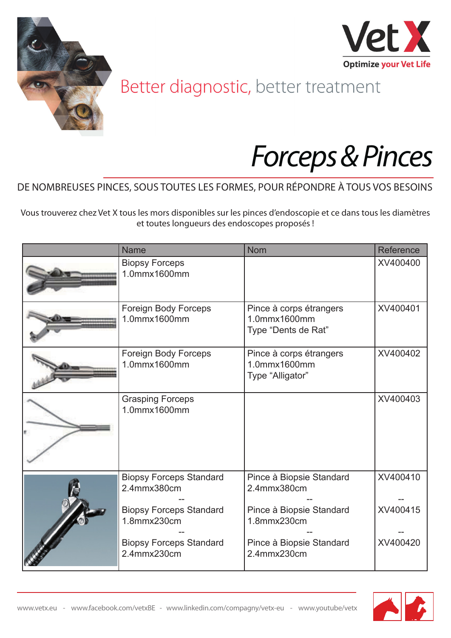



## Better diagnostic, better treatment

## *Forceps & Pinces*

## DE NOMBREUSES PINCES, SOUS TOUTES LES FORMES, POUR RÉPONDRE À TOUS VOS BESOINS

Vous trouverez chez Vet X tous les mors disponibles sur les pinces d'endoscopie et ce dans tous les diamètres et toutes longueurs des endoscopes proposés !

| <b>Name</b>                                   | <b>Nom</b>                                                     | Reference |
|-----------------------------------------------|----------------------------------------------------------------|-----------|
| <b>Biopsy Forceps</b><br>1.0mmx1600mm         |                                                                | XV400400  |
| Foreign Body Forceps<br>1.0mmx1600mm          | Pince à corps étrangers<br>1.0mmx1600mm<br>Type "Dents de Rat" | XV400401  |
| <b>Foreign Body Forceps</b><br>1.0mmx1600mm   | Pince à corps étrangers<br>1.0mmx1600mm<br>Type "Alligator"    | XV400402  |
| <b>Grasping Forceps</b><br>1.0mmx1600mm       |                                                                | XV400403  |
| <b>Biopsy Forceps Standard</b><br>2.4mmx380cm | Pince à Biopsie Standard<br>2.4mmx380cm                        | XV400410  |
| <b>Biopsy Forceps Standard</b><br>1.8mmx230cm | Pince à Biopsie Standard<br>1.8mmx230cm                        | XV400415  |
| <b>Biopsy Forceps Standard</b><br>2.4mmx230cm | Pince à Biopsie Standard<br>2.4mmx230cm                        | XV400420  |

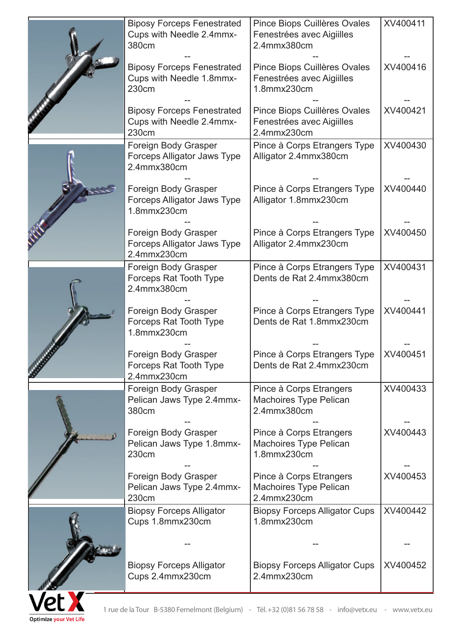|              | <b>Biposy Forceps Fenestrated</b><br>Cups with Needle 2.4mmx-<br>380cm | Pince Biops Cuillères Ovales<br>Fenestrées avec Aigiilles<br>2.4mmx380cm                           | XV400411 |
|--------------|------------------------------------------------------------------------|----------------------------------------------------------------------------------------------------|----------|
|              | <b>Biposy Forceps Fenestrated</b><br>Cups with Needle 1.8mmx-<br>230cm | Pince Biops Cuillères Ovales<br>Fenestrées avec Aigiilles<br>1.8mmx230cm                           | XV400416 |
|              | <b>Biposy Forceps Fenestrated</b><br>Cups with Needle 2.4mmx-<br>230cm | Pince Biops Cuillères Ovales<br>Fenestrées avec Aigiilles<br>2.4mmx230cm                           | XV400421 |
|              | Foreign Body Grasper<br>Forceps Alligator Jaws Type<br>2.4mmx380cm     | Pince à Corps Etrangers Type<br>Alligator 2.4mmx380cm                                              | XV400430 |
|              | Foreign Body Grasper<br>Forceps Alligator Jaws Type<br>1.8mmx230cm     | Pince à Corps Etrangers Type<br>Alligator 1.8mmx230cm                                              | XV400440 |
|              | Foreign Body Grasper<br>Forceps Alligator Jaws Type<br>2.4mmx230cm     | Pince à Corps Etrangers Type<br>Alligator 2.4mmx230cm                                              | XV400450 |
|              | Foreign Body Grasper<br><b>Forceps Rat Tooth Type</b><br>2.4mmx380cm   | Pince à Corps Etrangers Type<br>Dents de Rat 2.4mmx380cm                                           | XV400431 |
|              | Foreign Body Grasper<br>Forceps Rat Tooth Type<br>1.8mmx230cm          | Pince à Corps Etrangers Type<br>Dents de Rat 1.8mmx230cm                                           | XV400441 |
|              | Foreign Body Grasper<br><b>Forceps Rat Tooth Type</b><br>2.4mmx230cm   | Pince à Corps Etrangers Type<br>Dents de Rat 2.4mmx230cm                                           | XV400451 |
|              | Foreign Body Grasper<br>Pelican Jaws Type 2.4mmx-<br>380cm             | Pince à Corps Etrangers<br><b>Machoires Type Pelican</b><br>2.4mmx380cm                            | XV400433 |
|              | Foreign Body Grasper<br>Pelican Jaws Type 1.8mmx-<br>230cm             | Pince à Corps Etrangers<br><b>Machoires Type Pelican</b><br>1.8mmx230cm                            | XV400443 |
|              | Foreign Body Grasper<br>Pelican Jaws Type 2.4mmx-<br>230cm             | Pince à Corps Etrangers<br><b>Machoires Type Pelican</b><br>2.4mmx230cm                            | XV400453 |
|              | <b>Biopsy Forceps Alligator</b><br>Cups 1.8mmx230cm                    | <b>Biopsy Forceps Alligator Cups</b><br>1.8mmx230cm                                                | XV400442 |
|              | <b>Biopsy Forceps Alligator</b><br>Cups 2.4mmx230cm                    | <b>Biopsy Forceps Alligator Cups</b><br>2.4mmx230cm                                                | XV400452 |
| <b>Vet X</b> |                                                                        | 1 rue de la Tour B-5380 Fernelmont (Belgium) - Tél.+32 (0)81 56 78 58 - info@vetx.eu - www.vetx.eu |          |

**Optimize your Vet Life**